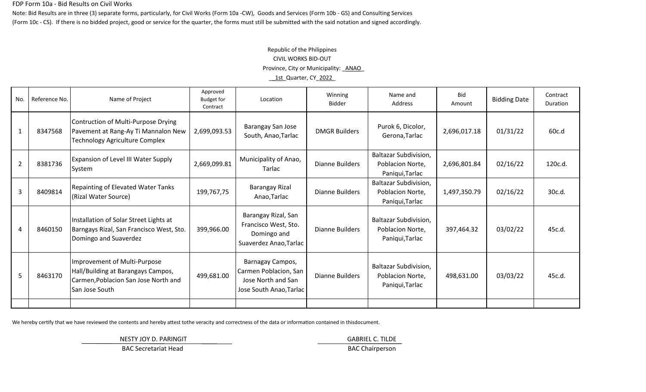#### FDP Form 10a - Bid Results on Civil Works

Note: Bid Results are in three (3) separate forms, particularly, for Civil Works (Form 10a -CW), Goods and Services (Form 10b - GS) and Consulting Services (Form 10c - CS). If there is no bidded project, good or service for the quarter, the forms must still be submitted with the said notation and signed accordingly.

# Republic of the Philippines CIVIL WORKS BID-OUT Province, City or Municipality: \_ANAO\_ \_\_1st\_Quarter, CY\_2022\_

| No.            | Reference No. | Name of Project                                                                                                              | Approved<br><b>Budget for</b><br>Contract | Location                                                                                   | Winning<br><b>Bidder</b> | Name and<br>Address                                                 | <b>Bid</b><br>Amount | <b>Bidding Date</b> | Contract<br><b>Duration</b> |
|----------------|---------------|------------------------------------------------------------------------------------------------------------------------------|-------------------------------------------|--------------------------------------------------------------------------------------------|--------------------------|---------------------------------------------------------------------|----------------------|---------------------|-----------------------------|
| $\mathbf{1}$   | 8347568       | Contruction of Multi-Purpose Drying<br>Pavement at Rang-Ay Ti Mannalon New<br><b>Technology Agriculture Complex</b>          | 2,699,093.53                              | Barangay San Jose<br>South, Anao, Tarlac                                                   | <b>DMGR Builders</b>     | Purok 6, Dicolor,<br>Gerona, Tarlac                                 | 2,696,017.18         | 01/31/22            | 60c.d                       |
| 2              | 8381736       | Expansion of Level III Water Supply<br>System                                                                                | 2,669,099.81                              | Municipality of Anao,<br>Tarlac                                                            | Dianne Builders          | Baltazar Subdivision,<br>Poblacion Norte,<br>Paniqui, Tarlac        | 2,696,801.84         | 02/16/22            | 120c.d.                     |
| 3              | 8409814       | Repainting of Elevated Water Tanks<br>(Rizal Water Source)                                                                   | 199,767,75                                | <b>Barangay Rizal</b><br>Anao, Tarlac                                                      | <b>Dianne Builders</b>   | Baltazar Subdivision,<br>Poblacion Norte,<br>Paniqui, Tarlac        | 1,497,350.79         | 02/16/22            | 30c.d.                      |
| $\overline{4}$ | 8460150       | Installation of Solar Street Lights at<br>Barngays Rizal, San Francisco West, Sto.<br>Domingo and Suaverdez                  | 399,966.00                                | Barangay Rizal, San<br>Francisco West, Sto.<br>Domingo and<br>Suaverdez Anao, Tarlac       | Dianne Builders          | <b>Baltazar Subdivision,</b><br>Poblacion Norte,<br>Paniqui, Tarlac | 397,464.32           | 03/02/22            | 45c.d.                      |
| 5              | 8463170       | Improvement of Multi-Purpose<br>Hall/Building at Barangays Campos,<br>Carmen, Poblacion San Jose North and<br>San Jose South | 499,681.00                                | Barnagay Campos,<br>Carmen Poblacion, San<br>Jose North and San<br>Jose South Anao, Tarlac | Dianne Builders          | Baltazar Subdivision,<br>Poblacion Norte,<br>Paniqui, Tarlac        | 498,631.00           | 03/03/22            | 45c.d.                      |
|                |               |                                                                                                                              |                                           |                                                                                            |                          |                                                                     |                      |                     |                             |

We hereby certify that we have reviewed the contents and hereby attest tothe veracity and correctness of the data or information contained in thisdocument.

NESTY JOY D. PARINGIT **GABRIEL C. TILDE** 

BAC Secretariat Head BAC Chairperson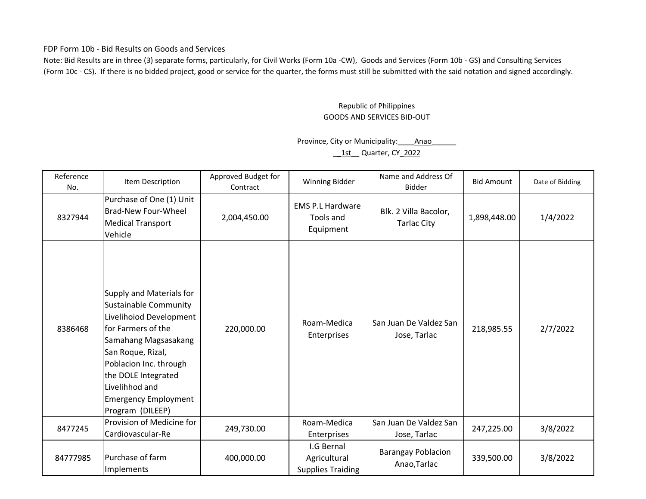FDP Form 10b - Bid Results on Goods and Services

Note: Bid Results are in three (3) separate forms, particularly, for Civil Works (Form 10a -CW), Goods and Services (Form 10b - GS) and Consulting Services (Form 10c - CS). If there is no bidded project, good or service for the quarter, the forms must still be submitted with the said notation and signed accordingly.

## Republic of Philippines GOODS AND SERVICES BID-OUT

### Province, City or Municipality: \_\_\_\_\_\_ Anao 1st Quarter, CY 2022

| Reference<br>No. | Item Description                                                                                                                                                                                                                                                             | Approved Budget for<br>Contract | Winning Bidder                                         | Name and Address Of<br>Bidder               | <b>Bid Amount</b> | Date of Bidding |
|------------------|------------------------------------------------------------------------------------------------------------------------------------------------------------------------------------------------------------------------------------------------------------------------------|---------------------------------|--------------------------------------------------------|---------------------------------------------|-------------------|-----------------|
| 8327944          | Purchase of One (1) Unit<br><b>Brad-New Four-Wheel</b><br><b>Medical Transport</b><br>Vehicle                                                                                                                                                                                | 2,004,450.00                    | <b>EMS P.L Hardware</b><br>Tools and<br>Equipment      | Blk. 2 Villa Bacolor,<br><b>Tarlac City</b> | 1,898,448.00      | 1/4/2022        |
| 8386468          | Supply and Materials for<br><b>Sustainable Community</b><br>Livelihoiod Development<br>for Farmers of the<br>Samahang Magsasakang<br>San Roque, Rizal,<br>Poblacion Inc. through<br>the DOLE Integrated<br>Livelihhod and<br><b>Emergency Employment</b><br>Program (DILEEP) | 220,000.00                      | Roam-Medica<br>Enterprises                             | San Juan De Valdez San<br>Jose, Tarlac      | 218,985.55        | 2/7/2022        |
| 8477245          | Provision of Medicine for<br>Cardiovascular-Re                                                                                                                                                                                                                               | 249,730.00                      | Roam-Medica<br>Enterprises                             | San Juan De Valdez San<br>Jose, Tarlac      | 247,225.00        | 3/8/2022        |
| 84777985         | Purchase of farm<br>Implements                                                                                                                                                                                                                                               | 400,000.00                      | I.G Bernal<br>Agricultural<br><b>Supplies Traiding</b> | <b>Barangay Poblacion</b><br>Anao, Tarlac   | 339,500.00        | 3/8/2022        |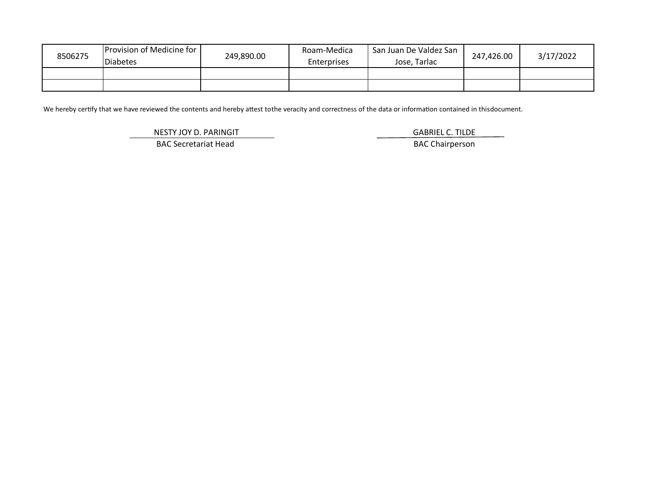| 8506275 | <b>Provision of Medicine for 1</b><br><b>Diabetes</b> | 249,890.00 | Roam-Medica<br><b>Enterprises</b> | San Juan De Valdez San<br>Jose. Tarlac | 247,426.00 | 3/17/2022 |
|---------|-------------------------------------------------------|------------|-----------------------------------|----------------------------------------|------------|-----------|
|         |                                                       |            |                                   |                                        |            |           |
|         |                                                       |            |                                   |                                        |            |           |

We hereby certify that we have reviewed the contents and hereby attest tothe veracity and correctness of the data or information contained in thisdocument.

NESTY JOY D. PARINGIT **GABRIEL C. TILDE** 

BAC Secretariat Head BAC Chairperson